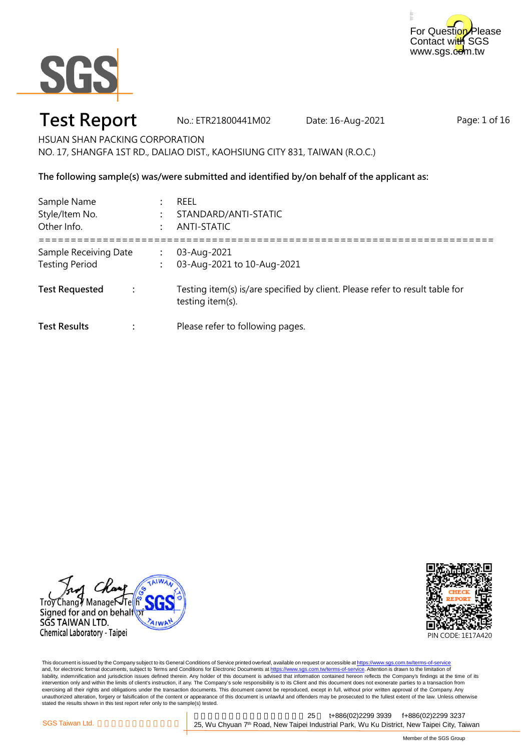



### **Test Report** No.: ETR21800441M02 Date: 16-Aug-2021

Page: 1 of 16

HSUAN SHAN PACKING CORPORATION NO. 17, SHANGFA 1ST RD., DALIAO DIST., KAOHSIUNG CITY 831, TAIWAN (R.O.C.)

**The following sample(s) was/were submitted and identified by/on behalf of the applicant as:**

| Sample Name<br>Style/Item No.<br>Other Info.   |                | <b>REEL</b><br>STANDARD/ANTI-STATIC<br>ANTI-STATIC                                               |
|------------------------------------------------|----------------|--------------------------------------------------------------------------------------------------|
| Sample Receiving Date<br><b>Testing Period</b> | $\ddot{\cdot}$ | 03-Aug-2021<br>03-Aug-2021 to 10-Aug-2021                                                        |
| <b>Test Requested</b>                          |                | Testing item(s) is/are specified by client. Please refer to result table for<br>testing item(s). |
| <b>Test Results</b>                            |                | Please refer to following pages.                                                                 |





This document is issued by the Company subject to its General Conditions of Service printed overleaf, available on request or accessible at <u>https://www.sgs.com.tw/terms-of-service</u><br>and, for electronic format documents, su liability, indemnification and jurisdiction issues defined therein. Any holder of this document is advised that information contained hereon reflects the Company's findings at the time of its intervention only and within the limits of client's instruction, if any. The Company's sole responsibility is to its Client and this document does not exonerate parties to a transaction from exercising all their rights and obligations under the transaction documents. This document cannot be reproduced, except in full, without prior written approval of the Company. Any<br>unauthorized alteration, forgery or falsif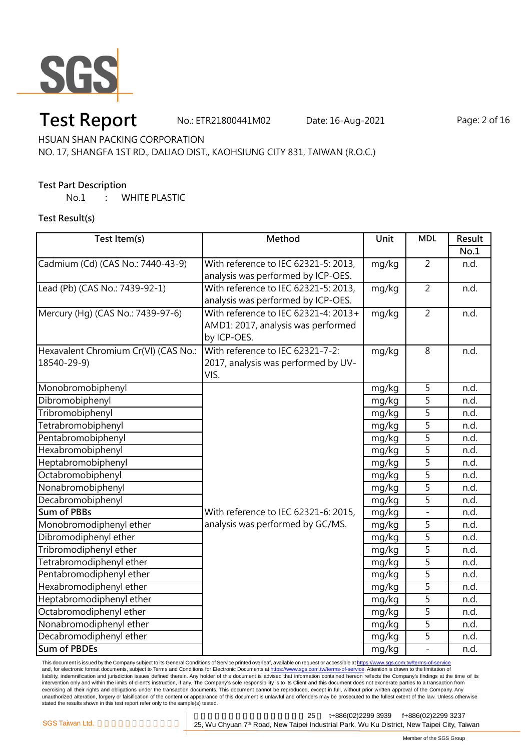

# **Test Report** Mo.: ETR21800441M02 Date: 16-Aug-2021 Page: 2 of 16

HSUAN SHAN PACKING CORPORATION

NO. 17, SHANGFA 1ST RD., DALIAO DIST., KAOHSIUNG CITY 831, TAIWAN (R.O.C.)

#### **Test Part Description**

No.1 **:** WHITE PLASTIC

**Test Result(s)**

| Test Item(s)                         | Method                               | Unit  | <b>MDL</b>     | Result |
|--------------------------------------|--------------------------------------|-------|----------------|--------|
|                                      |                                      |       |                | No.1   |
| Cadmium (Cd) (CAS No.: 7440-43-9)    | With reference to IEC 62321-5: 2013, | mg/kg | $\overline{2}$ | n.d.   |
|                                      | analysis was performed by ICP-OES.   |       |                |        |
| Lead (Pb) (CAS No.: 7439-92-1)       | With reference to IEC 62321-5: 2013, | mg/kg | $\overline{2}$ | n.d.   |
|                                      | analysis was performed by ICP-OES.   |       |                |        |
| Mercury (Hg) (CAS No.: 7439-97-6)    | With reference to IEC 62321-4: 2013+ | mg/kg | $\overline{2}$ | n.d.   |
|                                      | AMD1: 2017, analysis was performed   |       |                |        |
|                                      | by ICP-OES.                          |       |                |        |
| Hexavalent Chromium Cr(VI) (CAS No.: | With reference to IEC 62321-7-2:     | mg/kg | $\overline{8}$ | n.d.   |
| 18540-29-9)                          | 2017, analysis was performed by UV-  |       |                |        |
|                                      | VIS.                                 |       |                |        |
| Monobromobiphenyl                    |                                      | mg/kg | 5              | n.d.   |
| Dibromobiphenyl                      |                                      | mg/kg | 5              | n.d.   |
| Tribromobiphenyl                     |                                      | mg/kg | $\overline{5}$ | n.d.   |
| Tetrabromobiphenyl                   |                                      | mg/kg | $\overline{5}$ | n.d.   |
| Pentabromobiphenyl                   |                                      | mg/kg | $\overline{5}$ | n.d.   |
| Hexabromobiphenyl                    |                                      | mg/kg | $\overline{5}$ | n.d.   |
| Heptabromobiphenyl                   |                                      | mg/kg | $\overline{5}$ | n.d.   |
| Octabromobiphenyl                    |                                      | mg/kg | $\overline{5}$ | n.d.   |
| Nonabromobiphenyl                    |                                      | mg/kg | $\overline{5}$ | n.d.   |
| Decabromobiphenyl                    |                                      | mg/kg | $\overline{5}$ | n.d.   |
| <b>Sum of PBBs</b>                   | With reference to IEC 62321-6: 2015, | mg/kg | $\overline{a}$ | n.d.   |
| Monobromodiphenyl ether              | analysis was performed by GC/MS.     | mg/kg | 5              | n.d.   |
| Dibromodiphenyl ether                |                                      | mg/kg | 5              | n.d.   |
| Tribromodiphenyl ether               |                                      | mg/kg | $\overline{5}$ | n.d.   |
| Tetrabromodiphenyl ether             |                                      | mg/kg | $\overline{5}$ | n.d.   |
| Pentabromodiphenyl ether             |                                      | mg/kg | $\overline{5}$ | n.d.   |
| Hexabromodiphenyl ether              |                                      | mg/kg | $\overline{5}$ | n.d.   |
| Heptabromodiphenyl ether             |                                      | mg/kg | $\overline{5}$ | n.d.   |
| Octabromodiphenyl ether              |                                      | mg/kg | $\overline{5}$ | n.d.   |
| Nonabromodiphenyl ether              |                                      | mg/kg | 5              | n.d.   |
| Decabromodiphenyl ether              |                                      | mg/kg | 5              | n.d.   |
| <b>Sum of PBDEs</b>                  |                                      | mg/kg |                | n.d.   |

This document is issued by the Company subject to its General Conditions of Service printed overleaf, available on request or accessible at <u>https://www.sgs.com.tw/terms-of-service</u><br>and, for electronic format documents, su liability, indemnification and jurisdiction issues defined therein. Any holder of this document is advised that information contained hereon reflects the Company's findings at the time of its liability, indemnification and intervention only and within the limits of client's instruction, if any. The Company's sole responsibility is to its Client and this document does not exonerate parties to a transaction from exercising all their rights and obligations under the transaction documents. This document cannot be reproduced, except in full, without prior written approval of the Company. Any<br>unauthorized alteration, forgery or falsif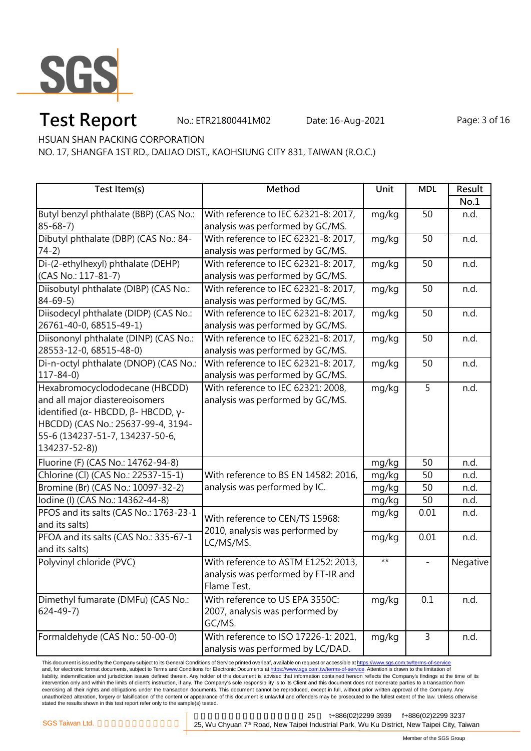

# **Test Report** Mo.: ETR21800441M02 Date: 16-Aug-2021 Page: 3 of 16

HSUAN SHAN PACKING CORPORATION

NO. 17, SHANGFA 1ST RD., DALIAO DIST., KAOHSIUNG CITY 831, TAIWAN (R.O.C.)

| Test Item(s)                                               | Method                                                                | Unit  | <b>MDL</b> | Result   |
|------------------------------------------------------------|-----------------------------------------------------------------------|-------|------------|----------|
|                                                            |                                                                       |       |            | No.1     |
| Butyl benzyl phthalate (BBP) (CAS No.:                     | With reference to IEC 62321-8: 2017,                                  | mg/kg | 50         | n.d.     |
| $85 - 68 - 7$                                              | analysis was performed by GC/MS.                                      |       |            |          |
| Dibutyl phthalate (DBP) (CAS No.: 84-                      | With reference to IEC 62321-8: 2017,                                  | mg/kg | 50         | n.d.     |
| $74-2)$                                                    | analysis was performed by GC/MS.                                      |       |            |          |
| Di-(2-ethylhexyl) phthalate (DEHP)                         | With reference to IEC 62321-8: 2017,                                  | mg/kg | 50         | n.d.     |
| (CAS No.: 117-81-7)                                        | analysis was performed by GC/MS.                                      |       |            |          |
| Diisobutyl phthalate (DIBP) (CAS No.:                      | With reference to IEC 62321-8: 2017,                                  | mg/kg | 50         | n.d.     |
| $84 - 69 - 5$                                              | analysis was performed by GC/MS.                                      |       |            |          |
| Diisodecyl phthalate (DIDP) (CAS No.:                      | With reference to IEC 62321-8: 2017,                                  | mg/kg | 50         | n.d.     |
| 26761-40-0, 68515-49-1)                                    | analysis was performed by GC/MS.                                      |       |            |          |
| Diisononyl phthalate (DINP) (CAS No.:                      | With reference to IEC 62321-8: 2017,                                  | mg/kg | 50         | n.d.     |
| 28553-12-0, 68515-48-0)                                    | analysis was performed by GC/MS.                                      |       |            |          |
| Di-n-octyl phthalate (DNOP) (CAS No.:                      | With reference to IEC 62321-8: 2017,                                  | mg/kg | 50         | n.d.     |
| $117 - 84 - 0$                                             | analysis was performed by GC/MS.                                      |       |            |          |
| Hexabromocyclododecane (HBCDD)                             | With reference to IEC 62321: 2008,                                    | mg/kg | 5          | n.d.     |
| and all major diastereoisomers                             | analysis was performed by GC/MS.                                      |       |            |          |
| identified ( $\alpha$ - HBCDD, $\beta$ - HBCDD, $\gamma$ - |                                                                       |       |            |          |
| HBCDD) (CAS No.: 25637-99-4, 3194-                         |                                                                       |       |            |          |
| 55-6 (134237-51-7, 134237-50-6,                            |                                                                       |       |            |          |
| 134237-52-8))                                              |                                                                       |       |            |          |
| Fluorine (F) (CAS No.: 14762-94-8)                         |                                                                       | mg/kg | 50         | n.d.     |
| Chlorine (Cl) (CAS No.: 22537-15-1)                        | With reference to BS EN 14582: 2016,<br>analysis was performed by IC. | mg/kg | 50         | n.d.     |
| Bromine (Br) (CAS No.: 10097-32-2)                         |                                                                       | mg/kg | 50         | n.d.     |
| Iodine (I) (CAS No.: 14362-44-8)                           |                                                                       | mg/kg | 50         | n.d.     |
| PFOS and its salts (CAS No.: 1763-23-1                     |                                                                       | mg/kg | 0.01       | n.d.     |
| and its salts)                                             | With reference to CEN/TS 15968:<br>2010, analysis was performed by    |       |            |          |
| PFOA and its salts (CAS No.: 335-67-1                      | LC/MS/MS.                                                             | mg/kg | 0.01       | n.d.     |
| and its salts)                                             |                                                                       |       |            |          |
| Polyvinyl chloride (PVC)                                   | With reference to ASTM E1252: 2013,                                   | $***$ |            | Negative |
|                                                            | analysis was performed by FT-IR and                                   |       |            |          |
|                                                            | Flame Test.                                                           |       |            |          |
| Dimethyl fumarate (DMFu) (CAS No.:                         | With reference to US EPA 3550C:                                       | mg/kg | 0.1        | n.d.     |
| $624 - 49 - 7$                                             | 2007, analysis was performed by                                       |       |            |          |
|                                                            | GC/MS.                                                                |       |            |          |
| Formaldehyde (CAS No.: 50-00-0)                            | With reference to ISO 17226-1: 2021,                                  | mg/kg | 3          | n.d.     |
|                                                            | analysis was performed by LC/DAD.                                     |       |            |          |

This document is issued by the Company subject to its General Conditions of Service printed overleaf, available on request or accessible at <u>https://www.sgs.com.tw/terms-of-service</u><br>and, for electronic format documents, su liability, indemnification and jurisdiction issues defined therein. Any holder of this document is advised that information contained hereon reflects the Company's findings at the time of its liability, indemnification and intervention only and within the limits of client's instruction, if any. The Company's sole responsibility is to its Client and this document does not exonerate parties to a transaction from exercising all their rights and obligations under the transaction documents. This document cannot be reproduced, except in full, without prior written approval of the Company. Any<br>unauthorized alteration, forgery or falsif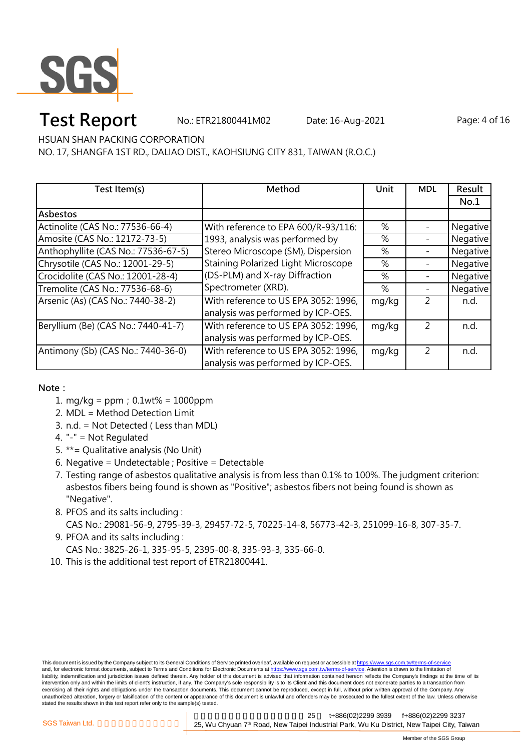

# **Test Report** Mo.: ETR21800441M02 Date: 16-Aug-2021 Page: 4 of 16

HSUAN SHAN PACKING CORPORATION

NO. 17, SHANGFA 1ST RD., DALIAO DIST., KAOHSIUNG CITY 831, TAIWAN (R.O.C.)

| Test Item(s)                        | Method                               | Unit  | <b>MDL</b>     | Result   |
|-------------------------------------|--------------------------------------|-------|----------------|----------|
|                                     |                                      |       |                | No.1     |
| Asbestos                            |                                      |       |                |          |
| Actinolite (CAS No.: 77536-66-4)    | With reference to EPA 600/R-93/116:  | %     |                | Negative |
| Amosite (CAS No.: 12172-73-5)       | 1993, analysis was performed by      | %     |                | Negative |
| Anthophyllite (CAS No.: 77536-67-5) | Stereo Microscope (SM), Dispersion   | %     |                | Negative |
| Chrysotile (CAS No.: 12001-29-5)    | Staining Polarized Light Microscope  | %     |                | Negative |
| Crocidolite (CAS No.: 12001-28-4)   | (DS-PLM) and X-ray Diffraction       | %     |                | Negative |
| Tremolite (CAS No.: 77536-68-6)     | Spectrometer (XRD).                  | %     |                | Negative |
| Arsenic (As) (CAS No.: 7440-38-2)   | With reference to US EPA 3052: 1996, | mg/kg | $\mathfrak{D}$ | n.d.     |
|                                     | analysis was performed by ICP-OES.   |       |                |          |
| Beryllium (Be) (CAS No.: 7440-41-7) | With reference to US EPA 3052: 1996, | mg/kg | $\mathcal{P}$  | n.d.     |
|                                     | analysis was performed by ICP-OES.   |       |                |          |
| Antimony (Sb) (CAS No.: 7440-36-0)  | With reference to US EPA 3052: 1996, | mg/kg | $\overline{2}$ | n.d.     |
|                                     | analysis was performed by ICP-OES.   |       |                |          |

**Note:**

- 1. mg/kg = ppm;0.1wt% = 1000ppm
- 2. MDL = Method Detection Limit
- 3. n.d. = Not Detected ( Less than MDL)
- 4. "-" = Not Regulated
- 5. \*\*= Qualitative analysis (No Unit)
- 6. Negative = Undetectable ; Positive = Detectable
- 7. Testing range of asbestos qualitative analysis is from less than 0.1% to 100%. The judgment criterion: asbestos fibers being found is shown as "Positive"; asbestos fibers not being found is shown as "Negative".
- 8. PFOS and its salts including : CAS No.: 29081-56-9, 2795-39-3, 29457-72-5, 70225-14-8, 56773-42-3, 251099-16-8, 307-35-7.
- 9. PFOA and its salts including : CAS No.: 3825-26-1, 335-95-5, 2395-00-8, 335-93-3, 335-66-0.
- 10. This is the additional test report of ETR21800441.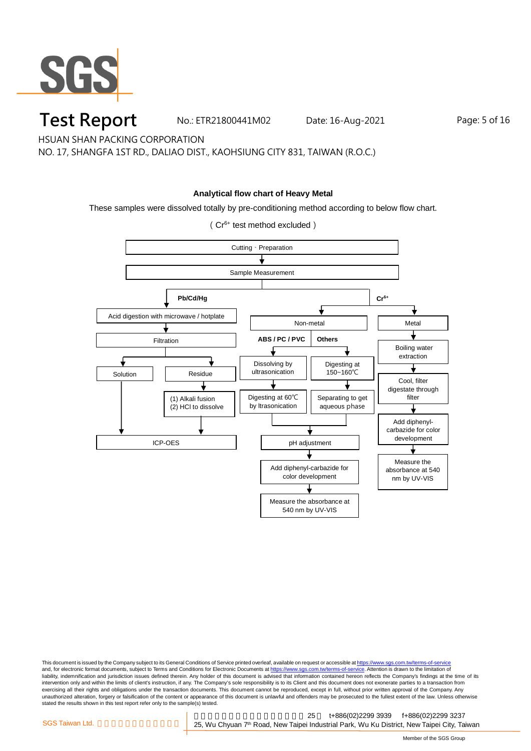

### **Test Report** Mo.: ETR21800441M02 Date: 16-Aug-2021 Page: 5 of 16

HSUAN SHAN PACKING CORPORATION

NO. 17, SHANGFA 1ST RD., DALIAO DIST., KAOHSIUNG CITY 831, TAIWAN (R.O.C.)

#### **Analytical flow chart of Heavy Metal**

These samples were dissolved totally by pre-conditioning method according to below flow chart.

Cutting、Preparation Sample Measurement Acid digestion with microwave / hotplate **Pb/Cd/Hg** Filtration Solution Residue (1) Alkali fusion (2) HCl to dissolve ICP-OES **Cr6+** Non-metal | Metal Dissolving by ultrasonication Digesting at 150~160℃ **ABS / PC / PVC Others** Boiling water extraction Cool, filter digestate through filter Add diphenylcarbazide for color development Measure the absorbance at 540 nm by UV-VIS Separating to get aqueous phase Digesting at 60℃ by ltrasonication pH adjustment Add diphenyl-carbazide for color development Measure the absorbance at 540 nm by UV-VIS

(Cr6+ test method excluded)

This document is issued by the Company subject to its General Conditions of Service printed overleaf, available on request or accessible at <u>https://www.sgs.com.tw/terms-of-service</u><br>and, for electronic format documents, su liability, indemnification and jurisdiction issues defined therein. Any holder of this document is advised that information contained hereon reflects the Company's findings at the time of its liability, indemnification and intervention only and within the limits of client's instruction, if any. The Company's sole responsibility is to its Client and this document does not exonerate parties to a transaction from exercising all their rights and obligations under the transaction documents. This document cannot be reproduced, except in full, without prior written approval of the Company. Any<br>unauthorized alteration, forgery or falsif stated the results shown in this test report refer only to the sample(s) tested.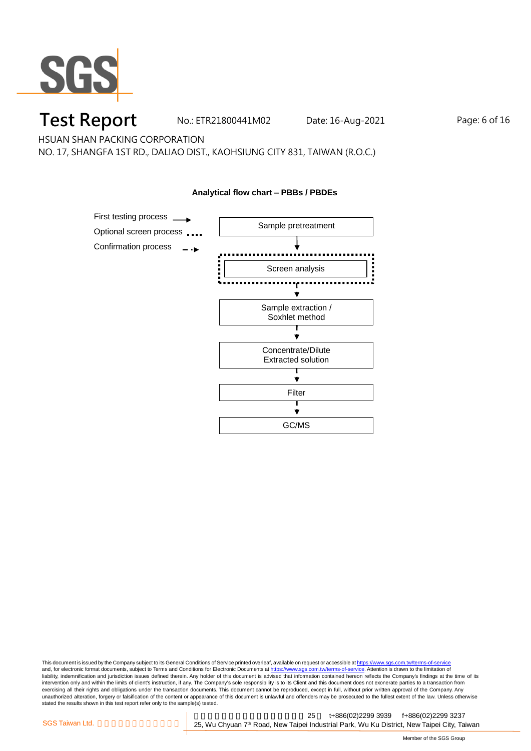

## **Test Report** Mo.: ETR21800441M02 Date: 16-Aug-2021 Page: 6 of 16

HSUAN SHAN PACKING CORPORATION

NO. 17, SHANGFA 1ST RD., DALIAO DIST., KAOHSIUNG CITY 831, TAIWAN (R.O.C.)



This document is issued by the Company subject to its General Conditions of Service printed overleaf, available on request or accessible at <u>https://www.sgs.com.tw/terms-of-service</u><br>and, for electronic format documents, su liability, indemnification and jurisdiction issues defined therein. Any holder of this document is advised that information contained hereon reflects the Company's findings at the time of its liability, indemnification and intervention only and within the limits of client's instruction, if any. The Company's sole responsibility is to its Client and this document does not exonerate parties to a transaction from exercising all their rights and obligations under the transaction documents. This document cannot be reproduced, except in full, without prior written approval of the Company. Any<br>unauthorized alteration, forgery or falsif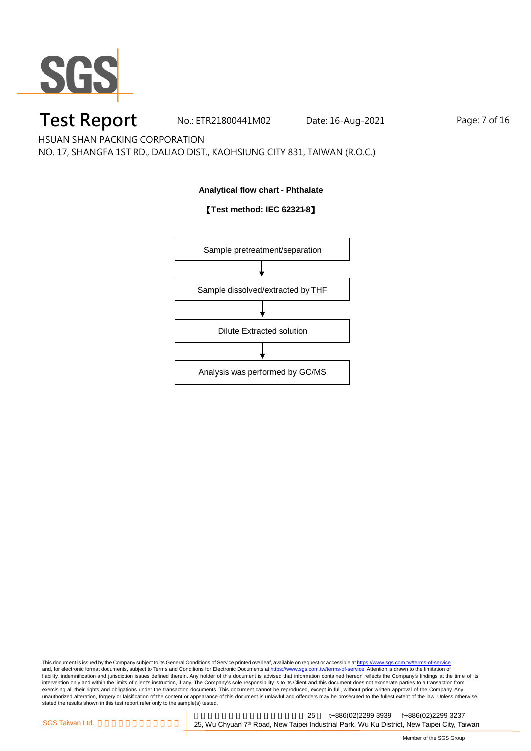

## **Test Report** Mo.: ETR21800441M02 Date: 16-Aug-2021 Page: 7 of 16

HSUAN SHAN PACKING CORPORATION

NO. 17, SHANGFA 1ST RD., DALIAO DIST., KAOHSIUNG CITY 831, TAIWAN (R.O.C.)

#### **Analytical flow chart - Phthalate**

#### 【**Test method: IEC 62321-8**】



This document is issued by the Company subject to its General Conditions of Service printed overleaf, available on request or accessible at <u>https://www.sgs.com.tw/terms-of-service</u><br>and, for electronic format documents, su liability, indemnification and jurisdiction issues defined therein. Any holder of this document is advised that information contained hereon reflects the Company's findings at the time of its liability, indemnification and intervention only and within the limits of client's instruction, if any. The Company's sole responsibility is to its Client and this document does not exonerate parties to a transaction from exercising all their rights and obligations under the transaction documents. This document cannot be reproduced, except in full, without prior written approval of the Company. Any<br>unauthorized alteration, forgery or falsif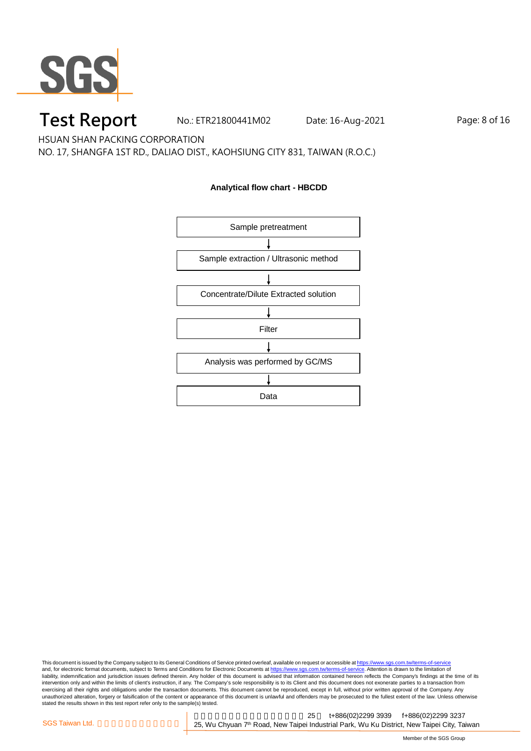

## **Test Report** Mo.: ETR21800441M02 Date: 16-Aug-2021 Page: 8 of 16

HSUAN SHAN PACKING CORPORATION

NO. 17, SHANGFA 1ST RD., DALIAO DIST., KAOHSIUNG CITY 831, TAIWAN (R.O.C.)

#### **Analytical flow chart - HBCDD**



This document is issued by the Company subject to its General Conditions of Service printed overleaf, available on request or accessible at <u>https://www.sgs.com.tw/terms-of-service</u><br>and, for electronic format documents, su liability, indemnification and jurisdiction issues defined therein. Any holder of this document is advised that information contained hereon reflects the Company's findings at the time of its liability, indemnification and intervention only and within the limits of client's instruction, if any. The Company's sole responsibility is to its Client and this document does not exonerate parties to a transaction from exercising all their rights and obligations under the transaction documents. This document cannot be reproduced, except in full, without prior written approval of the Company. Any<br>unauthorized alteration, forgery or falsif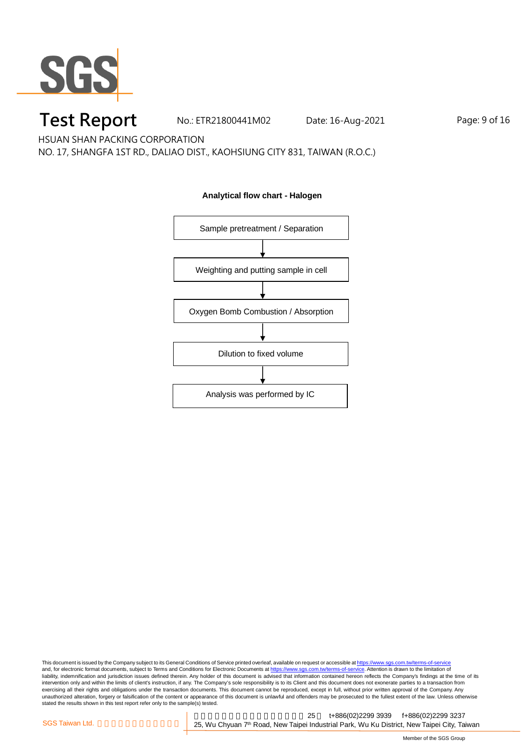

## **Test Report** Mo.: ETR21800441M02 Date: 16-Aug-2021 Page: 9 of 16

HSUAN SHAN PACKING CORPORATION

NO. 17, SHANGFA 1ST RD., DALIAO DIST., KAOHSIUNG CITY 831, TAIWAN (R.O.C.)



#### **Analytical flow chart - Halogen**

This document is issued by the Company subject to its General Conditions of Service printed overleaf, available on request or accessible at <u>https://www.sgs.com.tw/terms-of-service</u><br>and, for electronic format documents, su liability, indemnification and jurisdiction issues defined therein. Any holder of this document is advised that information contained hereon reflects the Company's findings at the time of its liability, indemnification and intervention only and within the limits of client's instruction, if any. The Company's sole responsibility is to its Client and this document does not exonerate parties to a transaction from exercising all their rights and obligations under the transaction documents. This document cannot be reproduced, except in full, without prior written approval of the Company. Any<br>unauthorized alteration, forgery or falsif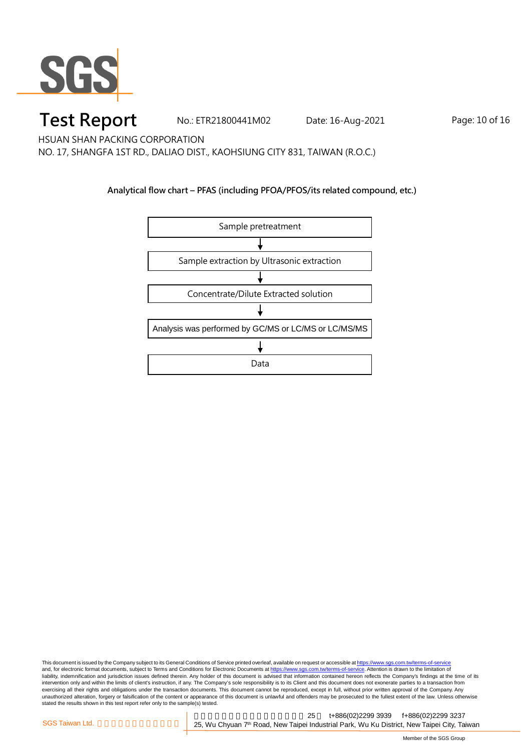

## **Test Report** Mo.: ETR21800441M02 Date: 16-Aug-2021 Page: 10 of 16

HSUAN SHAN PACKING CORPORATION

NO. 17, SHANGFA 1ST RD., DALIAO DIST., KAOHSIUNG CITY 831, TAIWAN (R.O.C.)

#### **Analytical flow chart – PFAS (including PFOA/PFOS/its related compound, etc.)**



This document is issued by the Company subject to its General Conditions of Service printed overleaf, available on request or accessible at <u>https://www.sgs.com.tw/terms-of-service</u><br>and, for electronic format documents, su liability, indemnification and jurisdiction issues defined therein. Any holder of this document is advised that information contained hereon reflects the Company's findings at the time of its intervention only and within the limits of client's instruction, if any. The Company's sole responsibility is to its Client and this document does not exonerate parties to a transaction from exercising all their rights and obligations under the transaction documents. This document cannot be reproduced, except in full, without prior written approval of the Company. Any<br>unauthorized alteration, forgery or falsif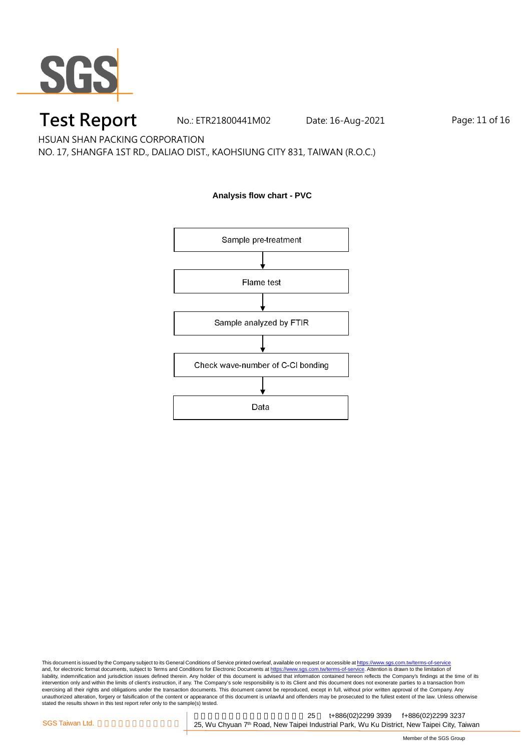

### **Test Report** Mo.: ETR21800441M02 Date: 16-Aug-2021 Page: 11 of 16

HSUAN SHAN PACKING CORPORATION

NO. 17, SHANGFA 1ST RD., DALIAO DIST., KAOHSIUNG CITY 831, TAIWAN (R.O.C.)

#### **Analysis flow chart - PVC**



This document is issued by the Company subject to its General Conditions of Service printed overleaf, available on request or accessible at <u>https://www.sgs.com.tw/terms-of-service</u><br>and, for electronic format documents, su liability, indemnification and jurisdiction issues defined therein. Any holder of this document is advised that information contained hereon reflects the Company's findings at the time of its liability, indemnification and intervention only and within the limits of client's instruction, if any. The Company's sole responsibility is to its Client and this document does not exonerate parties to a transaction from exercising all their rights and obligations under the transaction documents. This document cannot be reproduced, except in full, without prior written approval of the Company. Any<br>unauthorized alteration, forgery or falsif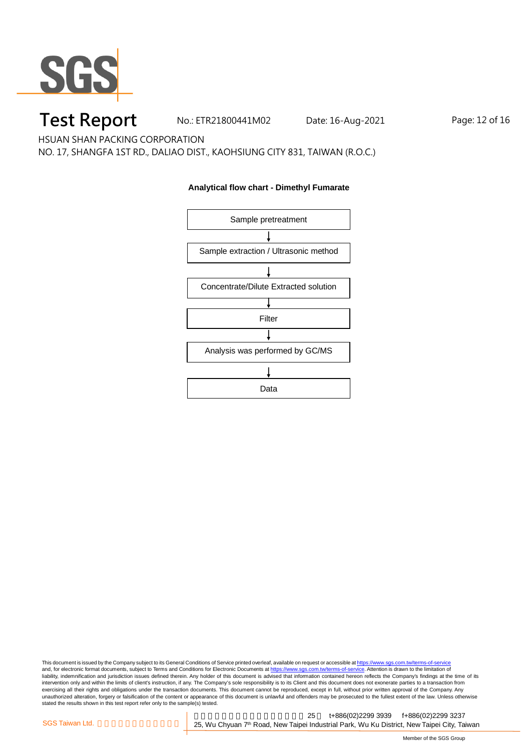

## **Test Report** Mo.: ETR21800441M02 Date: 16-Aug-2021 Page: 12 of 16

HSUAN SHAN PACKING CORPORATION

NO. 17, SHANGFA 1ST RD., DALIAO DIST., KAOHSIUNG CITY 831, TAIWAN (R.O.C.)

#### **Analytical flow chart - Dimethyl Fumarate**



This document is issued by the Company subject to its General Conditions of Service printed overleaf, available on request or accessible at <u>https://www.sgs.com.tw/terms-of-service</u><br>and, for electronic format documents, su liability, indemnification and jurisdiction issues defined therein. Any holder of this document is advised that information contained hereon reflects the Company's findings at the time of its liability, indemnification and intervention only and within the limits of client's instruction, if any. The Company's sole responsibility is to its Client and this document does not exonerate parties to a transaction from exercising all their rights and obligations under the transaction documents. This document cannot be reproduced, except in full, without prior written approval of the Company. Any<br>unauthorized alteration, forgery or falsif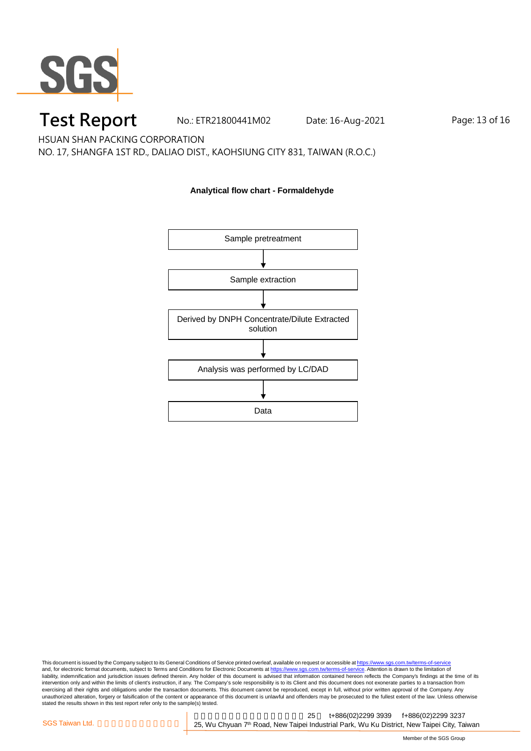

# **Test Report** Mo.: ETR21800441M02 Date: 16-Aug-2021 Page: 13 of 16

HSUAN SHAN PACKING CORPORATION

NO. 17, SHANGFA 1ST RD., DALIAO DIST., KAOHSIUNG CITY 831, TAIWAN (R.O.C.)

#### **Analytical flow chart - Formaldehyde**



This document is issued by the Company subject to its General Conditions of Service printed overleaf, available on request or accessible at <u>https://www.sgs.com.tw/terms-of-service</u><br>and, for electronic format documents, su liability, indemnification and jurisdiction issues defined therein. Any holder of this document is advised that information contained hereon reflects the Company's findings at the time of its liability, indemnification and intervention only and within the limits of client's instruction, if any. The Company's sole responsibility is to its Client and this document does not exonerate parties to a transaction from exercising all their rights and obligations under the transaction documents. This document cannot be reproduced, except in full, without prior written approval of the Company. Any<br>unauthorized alteration, forgery or falsif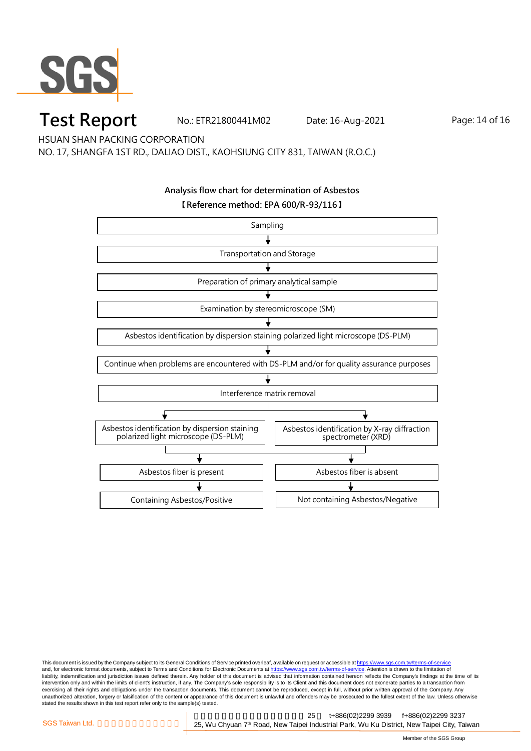

### **Test Report** No.: ETR21800441M02 Date: 16-Aug-2021 Page: 14 of 16

HSUAN SHAN PACKING CORPORATION

NO. 17, SHANGFA 1ST RD., DALIAO DIST., KAOHSIUNG CITY 831, TAIWAN (R.O.C.)

#### **Analysis flow chart for determination of Asbestos 【Reference method: EPA 600/R-93/116】**



This document is issued by the Company subject to its General Conditions of Service printed overleaf, available on request or accessible at <u>https://www.sgs.com.tw/terms-of-service</u><br>and, for electronic format documents, su liability, indemnification and jurisdiction issues defined therein. Any holder of this document is advised that information contained hereon reflects the Company's findings at the time of its intervention only and within the limits of client's instruction, if any. The Company's sole responsibility is to its Client and this document does not exonerate parties to a transaction from exercising all their rights and obligations under the transaction documents. This document cannot be reproduced, except in full, without prior written approval of the Company. Any<br>unauthorized alteration, forgery or falsif stated the results shown in this test report refer only to the sample(s) tested.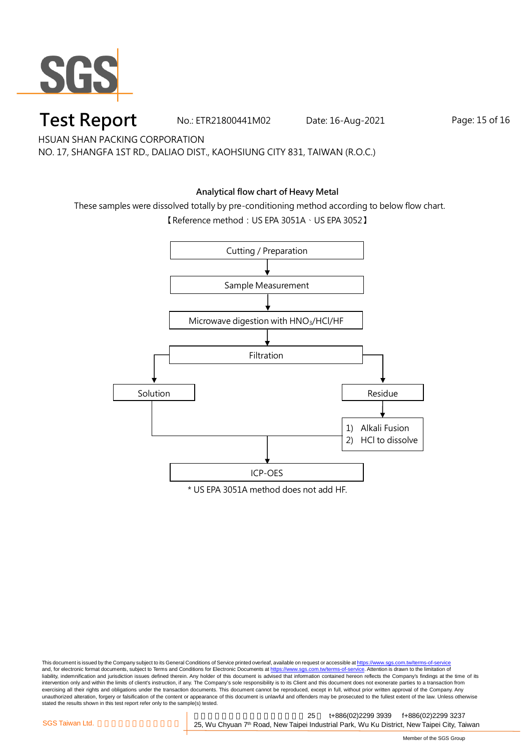

### **Test Report** Mo.: ETR21800441M02 Date: 16-Aug-2021 Page: 15 of 16

HSUAN SHAN PACKING CORPORATION

NO. 17, SHANGFA 1ST RD., DALIAO DIST., KAOHSIUNG CITY 831, TAIWAN (R.O.C.)

#### **Analytical flow chart of Heavy Metal**

These samples were dissolved totally by pre-conditioning method according to below flow chart.

【Reference method:US EPA 3051A、US EPA 3052】



This document is issued by the Company subject to its General Conditions of Service printed overleaf, available on request or accessible at <u>https://www.sgs.com.tw/terms-of-service</u><br>and, for electronic format documents, su liability, indemnification and jurisdiction issues defined therein. Any holder of this document is advised that information contained hereon reflects the Company's findings at the time of its intervention only and within the limits of client's instruction, if any. The Company's sole responsibility is to its Client and this document does not exonerate parties to a transaction from exercising all their rights and obligations under the transaction documents. This document cannot be reproduced, except in full, without prior written approval of the Company. Any<br>unauthorized alteration, forgery or falsif